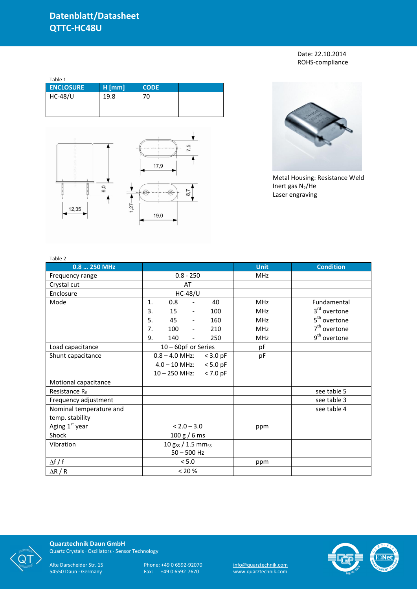Date: 22.10.2014 ROHS-compliance

| Table 1          |          |             |  |
|------------------|----------|-------------|--|
| <b>ENCLOSURE</b> | $H$ [mm] | <b>CODE</b> |  |
| <b>HC-48/U</b>   | 19.8     | 70          |  |





Metal Housing: Resistance Weld Inert gas  $N_2$ /He Laser engraving

| Table 2                    |                   |                     |                          |            |             |                          |
|----------------------------|-------------------|---------------------|--------------------------|------------|-------------|--------------------------|
| 0.8  250 MHz               |                   |                     |                          |            | <b>Unit</b> | <b>Condition</b>         |
| Frequency range            | $0.8 - 250$       |                     |                          |            | <b>MHz</b>  |                          |
| Crystal cut                |                   |                     | AT                       |            |             |                          |
| Enclosure                  |                   |                     | <b>HC-48/U</b>           |            |             |                          |
| Mode                       | 1.                | 0.8                 | $\overline{\phantom{a}}$ | 40         | <b>MHz</b>  | Fundamental              |
|                            | 3.                | 15                  | $\overline{\phantom{a}}$ | 100        | <b>MHz</b>  | 3rd overtone             |
|                            | 5.                | 45                  | $\overline{\phantom{a}}$ | 160        | <b>MHz</b>  | 5 <sup>th</sup> overtone |
|                            | 7.                | 100                 | $\overline{\phantom{a}}$ | 210        | <b>MHz</b>  | 7 <sup>th</sup> overtone |
|                            | 9.                | 140                 | $\overline{\phantom{a}}$ | 250        | <b>MHz</b>  | 9 <sup>th</sup> overtone |
| Load capacitance           |                   | 10 - 60pF or Series |                          |            | pF          |                          |
| Shunt capacitance          |                   | $0.8 - 4.0$ MHz:    |                          | $<$ 3.0 pF | pF          |                          |
|                            |                   | $4.0 - 10$ MHz:     |                          | $< 5.0$ pF |             |                          |
|                            |                   | $10 - 250$ MHz:     |                          | $< 7.0$ pF |             |                          |
| Motional capacitance       |                   |                     |                          |            |             |                          |
| Resistance $R_R$           |                   |                     |                          |            |             | see table 5              |
| Frequency adjustment       |                   |                     |                          |            |             | see table 3              |
| Nominal temperature and    |                   |                     |                          |            |             | see table 4              |
| temp. stability            |                   |                     |                          |            |             |                          |
| Aging 1 <sup>st</sup> year | $< 2.0 - 3.0$     |                     |                          |            | ppm         |                          |
| Shock                      | 100 g / 6 ms      |                     |                          |            |             |                          |
| Vibration                  | 10 gss / 1.5 mmss |                     |                          |            |             |                          |
|                            | $50 - 500$ Hz     |                     |                          |            |             |                          |
| $\Delta f / f$             |                   | < 5.0               |                          |            | ppm         |                          |
| $\Delta$ R / R             | < 20 %            |                     |                          |            |             |                          |



**Quarztechnik Daun GmbH** Quartz Crystals · Oscillators · Sensor Technology

Alte Darscheider Str. 15 Phone: +49 0 6592-92070 <u>info@quarztechnik.com</u>

54550 Daun · Germany Fax: +49 0 6592-7670 www.quarztechnik.com